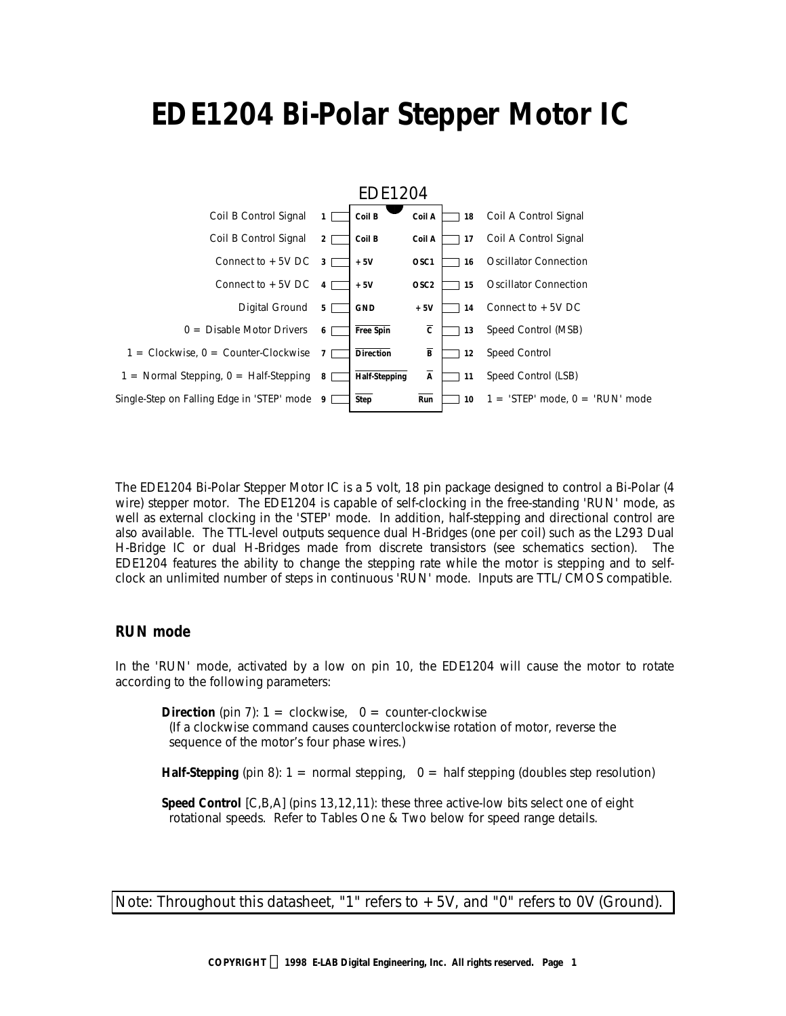# **EDE1204 Bi-Polar Stepper Motor IC**



The EDE1204 Bi-Polar Stepper Motor IC is a 5 volt, 18 pin package designed to control a Bi-Polar (4 wire) stepper motor. The EDE1204 is capable of self-clocking in the free-standing 'RUN' mode, as well as external clocking in the 'STEP' mode. In addition, half-stepping and directional control are also available. The TTL-level outputs sequence dual H-Bridges (one per coil) such as the L293 Dual H-Bridge IC or dual H-Bridges made from discrete transistors (see schematics section). The EDE1204 features the ability to change the stepping rate while the motor is stepping and to selfclock an unlimited number of steps in continuous 'RUN' mode. Inputs are TTL/ CMOS compatible.

#### **RUN mode**

In the 'RUN' mode, activated by a low on pin 10, the EDE1204 will cause the motor to rotate according to the following parameters:

**Direction** (pin 7):  $1 =$  clockwise,  $0 =$  counter-clockwise (If a clockwise command causes counterclockwise rotation of motor, reverse the sequence of the motor's four phase wires.)

**Half-Stepping** (pin 8):  $1 =$  normal stepping,  $0 =$  half stepping (doubles step resolution)

**Speed Control** [C,B,A] (pins 13,12,11): these three active-low bits select one of eight rotational speeds. Refer to Tables One & Two below for speed range details.

*Note: Throughout this datasheet, "1" refers to +5V, and "0" refers to 0V (Ground).*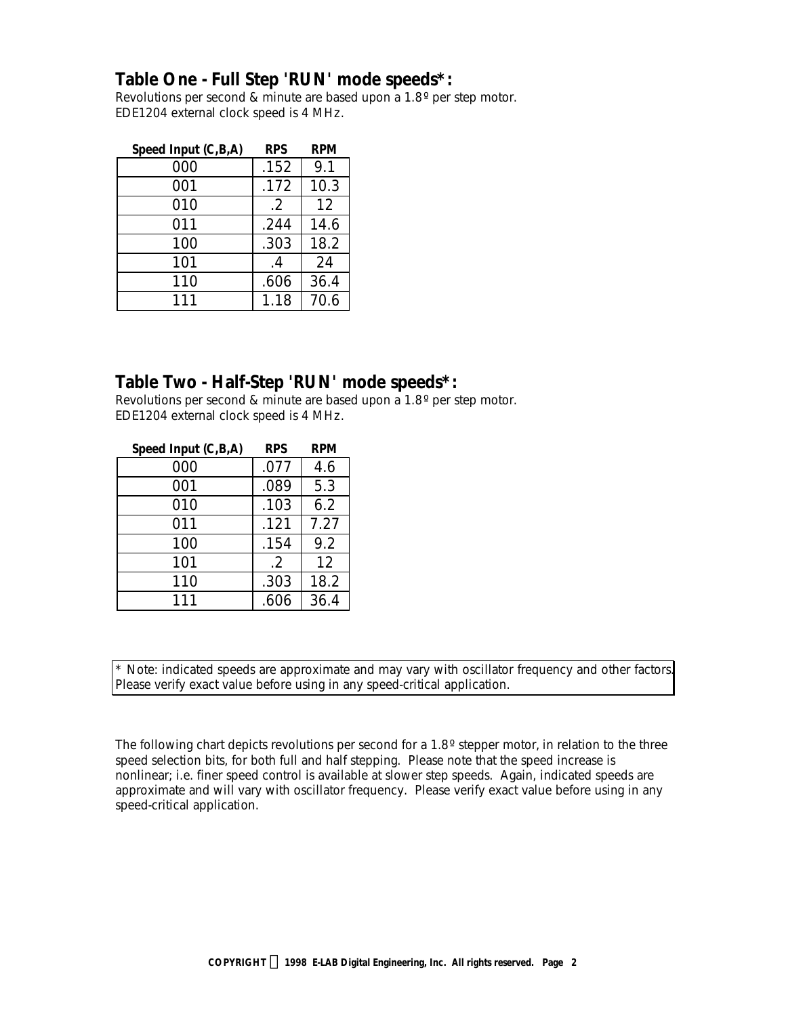# *Table One - Full Step 'RUN' mode speeds\*:*

Revolutions per second & minute are based upon a 1.8° per step motor. EDE1204 external clock speed is 4 MHz.

| Speed Input (C,B,A) | <b>RPS</b> | <b>RPM</b> |
|---------------------|------------|------------|
| 000                 | .152       | 9.1        |
| 001                 | .172       | 10.3       |
| 010                 | $.2\,$     | 12         |
| 011                 | .244       | 14.6       |
| 100                 | .303       | 18.2       |
| 101                 | .4         | 24         |
| 110                 | .606       | 36.4       |
| 111                 | 1.18       | 70.6       |

# *Table Two - Half-Step 'RUN' mode speeds\*:*

Revolutions per second & minute are based upon a 1.8 º per step motor. EDE1204 external clock speed is 4 MHz.

| Speed Input (C,B,A) | <b>RPS</b> | <b>RPM</b> |
|---------------------|------------|------------|
| 000                 | .077       | 4.6        |
| 001                 | .089       | 5.3        |
| 010                 | .103       | 6.2        |
| 011                 | .121       | 7.27       |
| 100                 | .154       | 9.2        |
| 101                 | $.2\,$     | 12         |
| 110                 | .303       | 18.2       |
| 111                 | .606       | 36.4       |

\* Note: indicated speeds are approximate and may vary with oscillator frequency and other factors. Please verify exact value before using in any speed-critical application.

The following chart depicts revolutions per second for a 1.8° stepper motor, in relation to the three speed selection bits, for both full and half stepping. Please note that the speed increase is nonlinear; i.e. finer speed control is available at slower step speeds. Again, indicated speeds are approximate and will vary with oscillator frequency. Please verify exact value before using in any speed-critical application.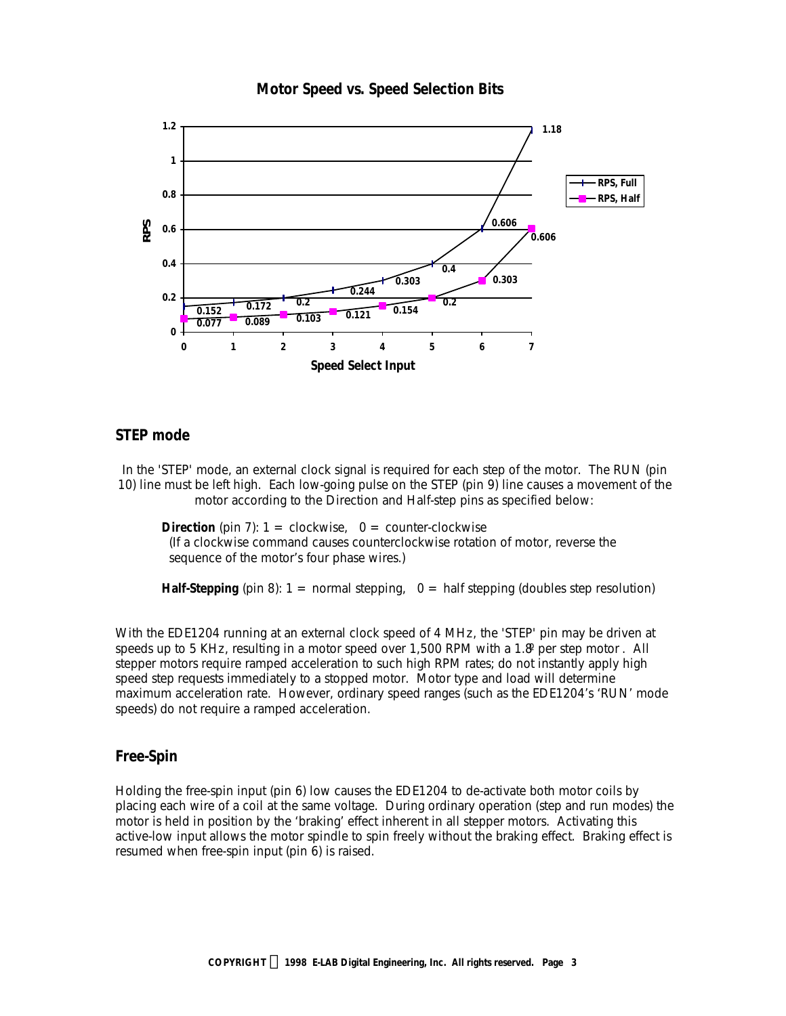

#### **Motor Speed vs. Speed Selection Bits**

#### **STEP mode**

In the 'STEP' mode, an external clock signal is required for each step of the motor. The RUN (pin 10) line must be left high. Each low-going pulse on the STEP (pin 9) line causes a movement of the motor according to the Direction and Half-step pins as specified below:

**Direction** (pin 7):  $1 =$  clockwise,  $0 =$  counter-clockwise (If a clockwise command causes counterclockwise rotation of motor, reverse the sequence of the motor's four phase wires.)

**Half-Stepping** (pin 8):  $1 =$  normal stepping,  $0 =$  half stepping (doubles step resolution)

With the EDE1204 running at an external clock speed of 4 MHz, the 'STEP' pin may be driven at speeds up to 5 KHz, resulting in a motor speed over 1,500 RPM with a 1.8° per step motor. All stepper motors require ramped acceleration to such high RPM rates; do not instantly apply high speed step requests immediately to a stopped motor. Motor type and load will determine maximum acceleration rate. However, ordinary speed ranges (such as the EDE1204's 'RUN' mode speeds) do not require a ramped acceleration.

## **Free-Spin**

Holding the free-spin input (pin 6) low causes the EDE1204 to de-activate both motor coils by placing each wire of a coil at the same voltage. During ordinary operation (step and run modes) the motor is held in position by the 'braking' effect inherent in all stepper motors. Activating this active-low input allows the motor spindle to spin freely without the braking effect. Braking effect is resumed when free-spin input (pin 6) is raised.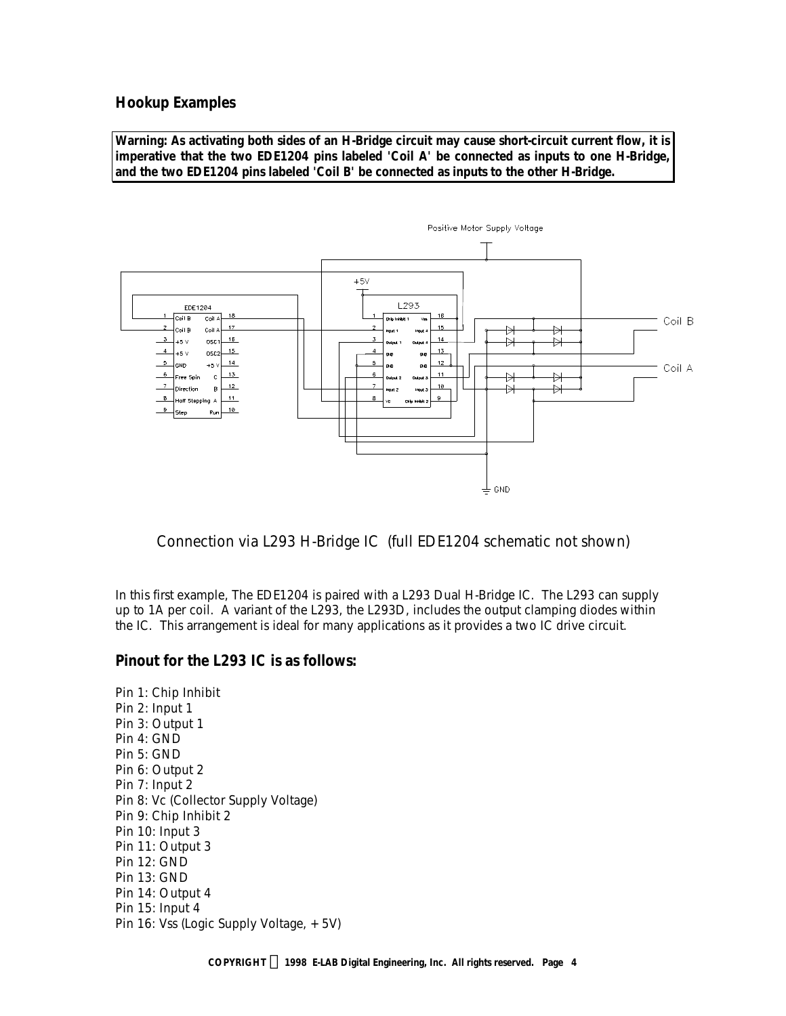#### **Hookup Examples**

*Warning: As activating both sides of an H-Bridge circuit may cause short-circuit current flow, it is imperative that the two EDE1204 pins labeled 'Coil A' be connected as inputs to one H-Bridge, and the two EDE1204 pins labeled 'Coil B' be connected as inputs to the other H-Bridge.*



*Connection via L293 H-Bridge IC (full EDE1204 schematic not shown)*

In this first example, The EDE1204 is paired with a L293 Dual H-Bridge IC. The L293 can supply up to 1A per coil. A variant of the L293, the L293D, includes the output clamping diodes within the IC. This arrangement is ideal for many applications as it provides a two IC drive circuit.

#### *Pinout for the L293 IC is as follows:*

*Pin 1: Chip Inhibit Pin 2: Input 1 Pin 3: Output 1 Pin 4: GND Pin 5: GND Pin 6: Output 2 Pin 7: Input 2 Pin 8: Vc (Collector Supply Voltage) Pin 9: Chip Inhibit 2 Pin 10: Input 3 Pin 11: Output 3 Pin 12: GND Pin 13: GND Pin 14: Output 4 Pin 15: Input 4 Pin 16: Vss (Logic Supply Voltage, +5V)*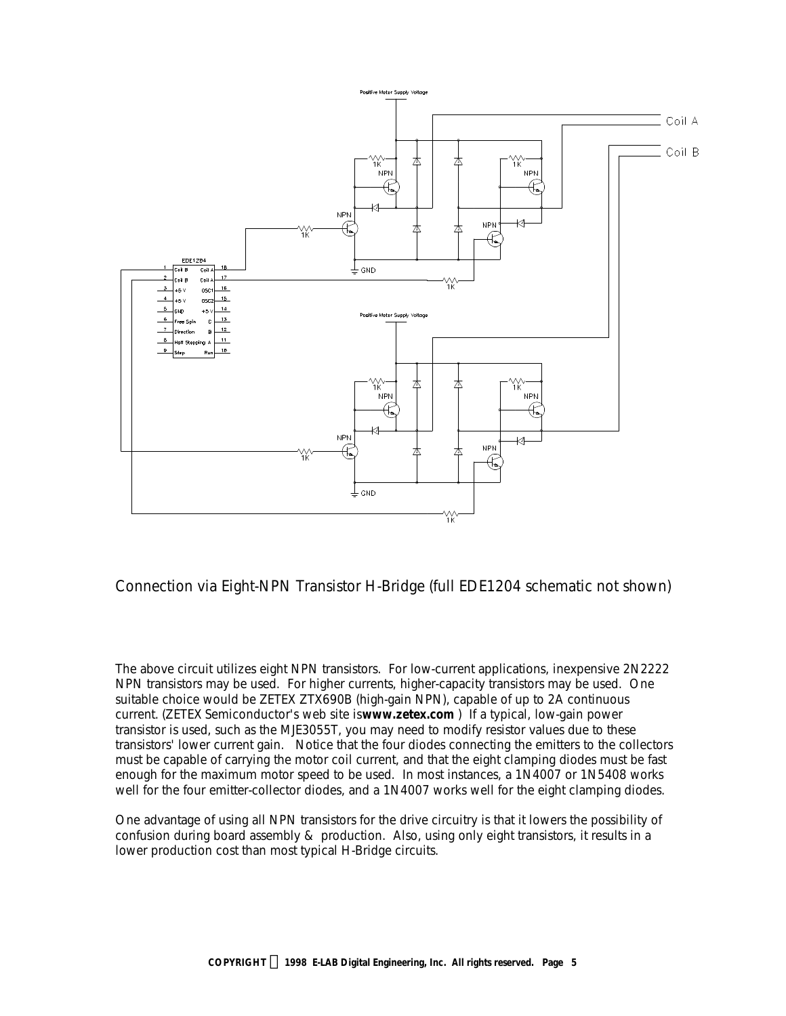

*Connection via Eight-NPN Transistor H-Bridge (full EDE1204 schematic not shown)*

The above circuit utilizes eight NPN transistors. For low-current applications, inexpensive 2N2222 NPN transistors may be used. For higher currents, higher-capacity transistors may be used. One suitable choice would be ZETEX ZTX690B (high-gain NPN), capable of up to 2A continuous current. *(ZETEX Semiconductor's web site is www.zetex.com )* If a typical, low-gain power transistor is used, such as the MJE3055T, you may need to modify resistor values due to these transistors' lower current gain. Notice that the four diodes connecting the emitters to the collectors must be capable of carrying the motor coil current, and that the eight clamping diodes must be fast enough for the maximum motor speed to be used. In most instances, a 1N4007 or 1N5408 works well for the four emitter-collector diodes, and a 1N4007 works well for the eight clamping diodes.

One advantage of using all NPN transistors for the drive circuitry is that it lowers the possibility of confusion during board assembly & production. Also, using only eight transistors, it results in a lower production cost than most typical H-Bridge circuits.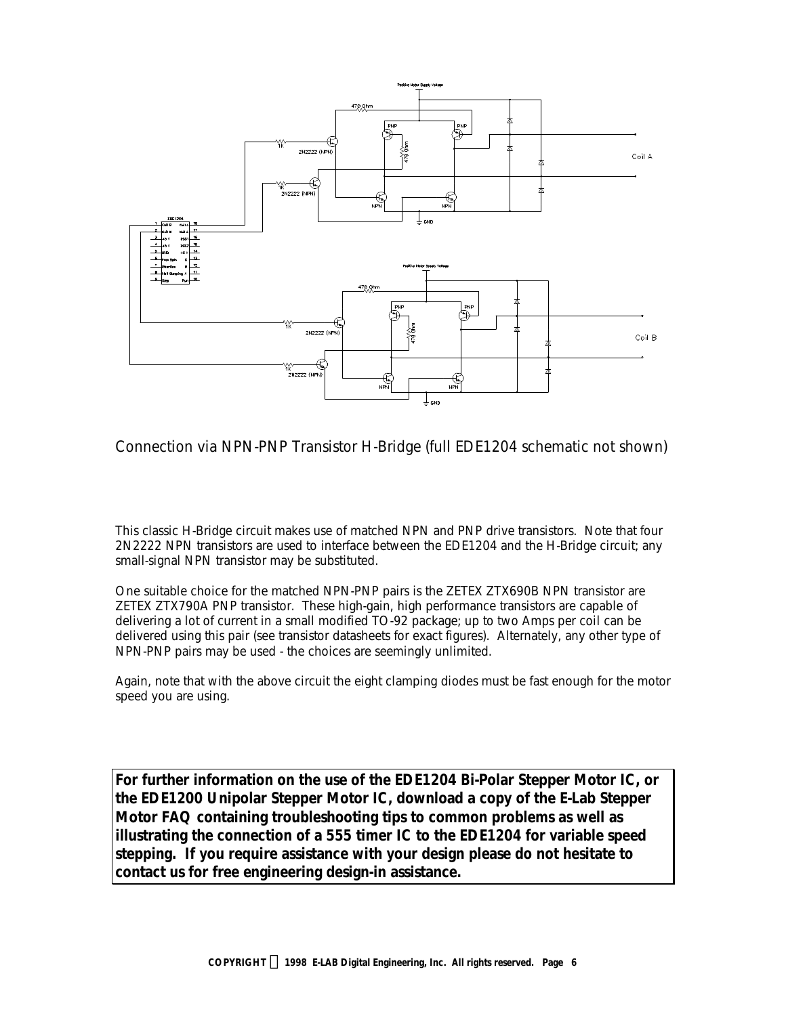

*Connection via NPN-PNP Transistor H-Bridge (full EDE1204 schematic not shown)*

This classic H-Bridge circuit makes use of matched NPN and PNP drive transistors. Note that four 2N2222 NPN transistors are used to interface between the EDE1204 and the H-Bridge circuit; any small-signal NPN transistor may be substituted.

One suitable choice for the matched NPN-PNP pairs is the ZETEX ZTX690B NPN transistor are ZETEX ZTX790A PNP transistor. These high-gain, high performance transistors are capable of delivering a lot of current in a small modified TO-92 package; up to two Amps per coil can be delivered using this pair (see transistor datasheets for exact figures). Alternately, any other type of NPN-PNP pairs may be used - the choices are seemingly unlimited.

Again, note that with the above circuit the eight clamping diodes must be fast enough for the motor speed you are using.

*For further information on the use of the EDE1204 Bi-Polar Stepper Motor IC, or the EDE1200 Unipolar Stepper Motor IC, download a copy of the E-Lab Stepper Motor FAQ containing troubleshooting tips to common problems as well as illustrating the connection of a 555 timer IC to the EDE1204 for variable speed stepping. If you require assistance with your design please do not hesitate to contact us for free engineering design-in assistance.*